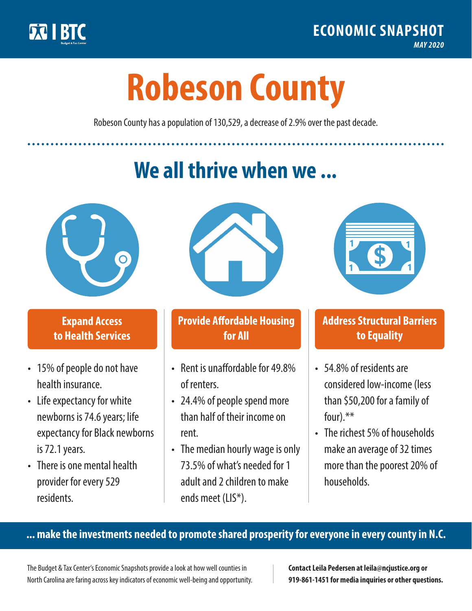

**1**

# **Robeson County**

Robeson County has a population of 130,529, a decrease of 2.9% over the past decade.

# **We all thrive when we ...**



**\$ <sup>1</sup>**

**\$ <sup>1</sup>**

## **Expand Access to Health Services**

- 15% of people do not have health insurance.
- Life expectancy for white newborns is 74.6 years; life expectancy for Black newborns is 72.1years.
- There is one mental health provider for every 529 residents.



## **Provide Affordable Housing for All**

- Rent is unaffordable for 49.8% of renters.
- 24.4% of people spend more than half of their income on rent.
- The median hourly wage is only 73.5% of what's needed for 1 adult and 2 children to make ends meet (LIS\*).



## **Address Structural Barriers to Equality**

- 54.8% of residents are considered low-income (less than \$50,200 for a family of four).\*\*
- The richest 5% of households make an average of 32 times more than the poorest 20% of households.

#### **... make the investments needed to promote shared prosperity for everyone in every county in N.C.**

The Budget & Tax Center's Economic Snapshots provide a look at how well counties in North Carolina are faring across key indicators of economic well-being and opportunity.